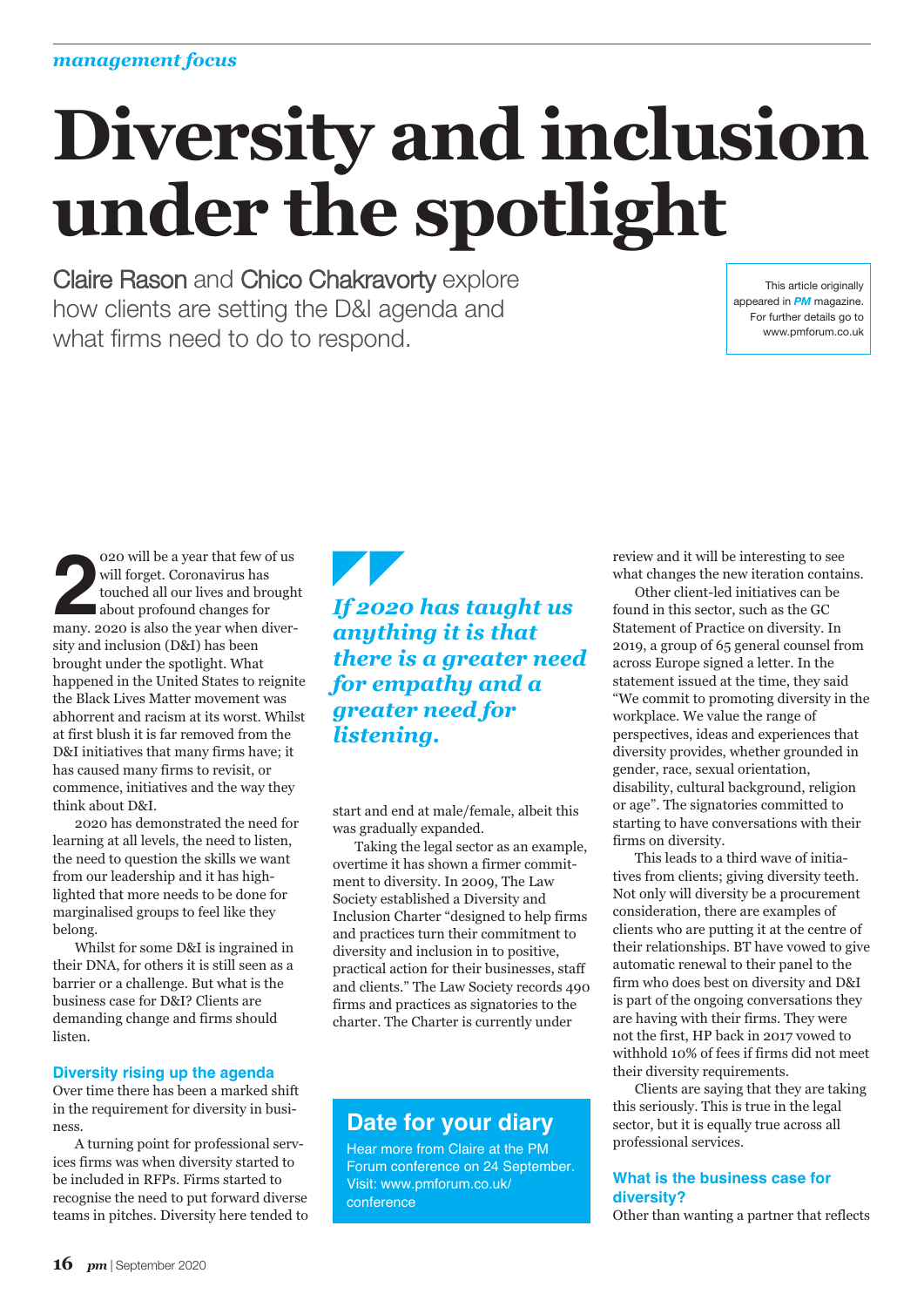# **Diversity and inclusion under the spotlight**

Claire Rason and Chico Chakravorty explore how clients are setting the D&I agenda and what firms need to do to respond.

This article originally appeared in *PM* magazine. For further details go to www.pmforum.co.uk

**2** will be a year that few of us<br>will forget. Coronavirus has<br>touched all our lives and brough<br>about profound changes for<br>many. 2020 is also the year when diver-020 will be a year that few of us will forget. Coronavirus has touched all our lives and brought about profound changes for sity and inclusion (D&I) has been brought under the spotlight. What happened in the United States to reignite the Black Lives Matter movement was abhorrent and racism at its worst. Whilst at first blush it is far removed from the D&I initiatives that many firms have; it has caused many firms to revisit, or commence, initiatives and the way they think about D&I.

2020 has demonstrated the need for learning at all levels, the need to listen, the need to question the skills we want from our leadership and it has highlighted that more needs to be done for marginalised groups to feel like they belong.

Whilst for some D&I is ingrained in their DNA, for others it is still seen as a barrier or a challenge. But what is the business case for D&I? Clients are demanding change and firms should listen.

#### **Diversity rising up the agenda**

Over time there has been a marked shift in the requirement for diversity in business.

A turning point for professional services firms was when diversity started to be included in RFPs. Firms started to recognise the need to put forward diverse teams in pitches. Diversity here tended to

## *If 2020 has taught us anything it is that there is a greater need for empathy and a greater need for listening.*

start and end at male/female, albeit this was gradually expanded.

Taking the legal sector as an example, overtime it has shown a firmer commitment to diversity. In 2009, The Law Society established a Diversity and Inclusion Charter "designed to help firms and practices turn their commitment to diversity and inclusion in to positive, practical action for their businesses, staff and clients." The Law Society records 490 firms and practices as signatories to the charter. The Charter is currently under

# **Date for your diary**

Hear more from Claire at the PM Forum conference on 24 September. Visit: www.pmforum.co.uk/ conference

review and it will be interesting to see what changes the new iteration contains.

Other client-led initiatives can be found in this sector, such as the GC Statement of Practice on diversity. In 2019, a group of 65 general counsel from across Europe signed a letter. In the statement issued at the time, they said "We commit to promoting diversity in the workplace. We value the range of perspectives, ideas and experiences that diversity provides, whether grounded in gender, race, sexual orientation, disability, cultural background, religion or age". The signatories committed to starting to have conversations with their firms on diversity.

This leads to a third wave of initiatives from clients; giving diversity teeth. Not only will diversity be a procurement consideration, there are examples of clients who are putting it at the centre of their relationships. BT have vowed to give automatic renewal to their panel to the firm who does best on diversity and D&I is part of the ongoing conversations they are having with their firms. They were not the first, HP back in 2017 vowed to withhold 10% of fees if firms did not meet their diversity requirements.

Clients are saying that they are taking this seriously. This is true in the legal sector, but it is equally true across all professional services.

#### **What is the business case for diversity?**

Other than wanting a partner that reflects